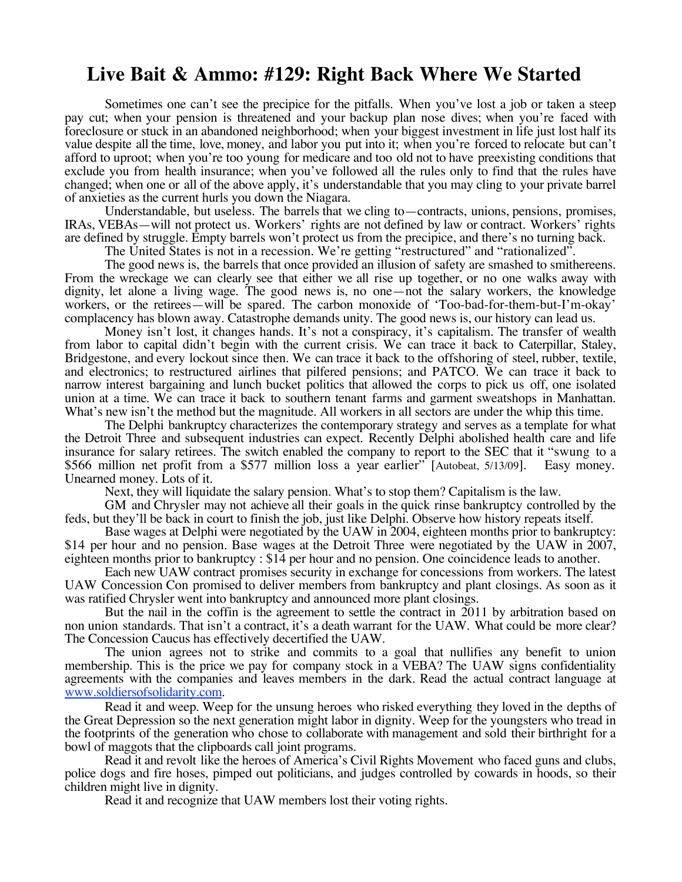## **Live Bait & Ammo: #129: Right Back Where We Started**

Sometimes one can't see the precipice for the pitfalls. When you've lost a job or taken a steep pay cut; when your pension is threatened and your backup plan nose dives; when you're faced with foreclosure or stuck in an abandoned neighborhood; when your biggest investment in life just lost half its value despite all the time, love, money, and labor you put into it; when you're forced to relocate but can't afford to uproot; when you're too young for medicare and too old not to have preexisting conditions that exclude you from health insurance; when you've followed all the rules only to find that the rules have changed; when one or all of the above apply, it's understandable that you may cling to your private barrel of anxieties as the current hurls you down the Niagara.

Understandable, but useless. The barrels that we cling to—contracts, unions, pensions, promises, IRAs, VEBAs—will not protect us. Workers' rights are not defined by law or contract. Workers' rights are defined by struggle. Empty barrels won't protect us from the precipice, and there's no turning back.

The United States is not in a recession. We're getting "restructured" and "rationalized".

The good news is, the barrels that once provided an illusion of safety are smashed to smithereens. From the wreckage we can clearly see that either we all rise up together, or no one walks away with dignity, let alone a living wage. The good news is, no one—not the salary workers, the knowledge workers, or the retirees—will be spared. The carbon monoxide of 'Too-bad-for-them-but-I'm-okay' complacency has blown away. Catastrophe demands unity. The good news is, our history can lead us.

Money isn't lost, it changes hands. It's not a conspiracy, it's capitalism. The transfer of wealth from labor to capital didn't begin with the current crisis. We can trace it back to Caterpillar, Staley, Bridgestone, and every lockout since then. We can trace it back to the offshoring of steel, rubber, textile, and electronics; to restructured airlines that pilfered pensions; and PATCO. We can trace it back to narrow interest bargaining and lunch bucket politics that allowed the corps to pick us off, one isolated union at a time. We can trace it back to southern tenant farms and garment sweatshops in Manhattan. What's new isn't the method but the magnitude. All workers in all sectors are under the whip this time.

The Delphi bankruptcy characterizes the contemporary strategy and serves as a template for what the Detroit Three and subsequent industries can expect. Recently Delphi abolished health care and life insurance for salary retirees. The switch enabled the company to report to the SEC that it "swung to a \$566 million net profit from a \$577 million loss a year earlier" [Autobeat, 5/13/09]. Easy money. \$566 million net profit from a \$577 million loss a year earlier" [Autobeat, 5/13/09]. Unearned money. Lots of it.

Next, they will liquidate the salary pension. What's to stop them? Capitalism is the law.

GM and Chrysler may not achieve all their goals in the quick rinse bankruptcy controlled by the feds, but they'll be back in court to finish the job, just like Delphi. Observe how history repeats itself.

Base wages at Delphi were negotiated by the UAW in 2004, eighteen months prior to bankruptcy: \$14 per hour and no pension. Base wages at the Detroit Three were negotiated by the UAW in 2007, eighteen months prior to bankruptcy : \$14 per hour and no pension. One coincidence leads to another.

Each new UAW contract promises security in exchange for concessions from workers. The latest UAW Concession Con promised to deliver members from bankruptcy and plant closings. As soon as it was ratified Chrysler went into bankruptcy and announced more plant closings.

But the nail in the coffin is the agreement to settle the contract in 2011 by arbitration based on non union standards. That isn't a contract, it's a death warrant for the UAW. What could be more clear? The Concession Caucus has effectively decertified the UAW.

The union agrees not to strike and commits to a goal that nullifies any benefit to union membership. This is the price we pay for company stock in a VEBA? The UAW signs confidentiality agreements with the companies and leaves members in the dark. Read the actual contract language at www.soldiersofsolidarity.com.

Read it and weep. Weep for the unsung heroes who risked everything they loved in the depths of the Great Depression so the next generation might labor in dignity. Weep for the youngsters who tread in the footprints of the generation who chose to collaborate with management and sold their birthright for a bowl of maggots that the clipboards call joint programs.

Read it and revolt like the heroes of America's Civil Rights Movement who faced guns and clubs, police dogs and fire hoses, pimped out politicians, and judges controlled by cowards in hoods, so their children might live in dignity.

Read it and recognize that UAW members lost their voting rights.